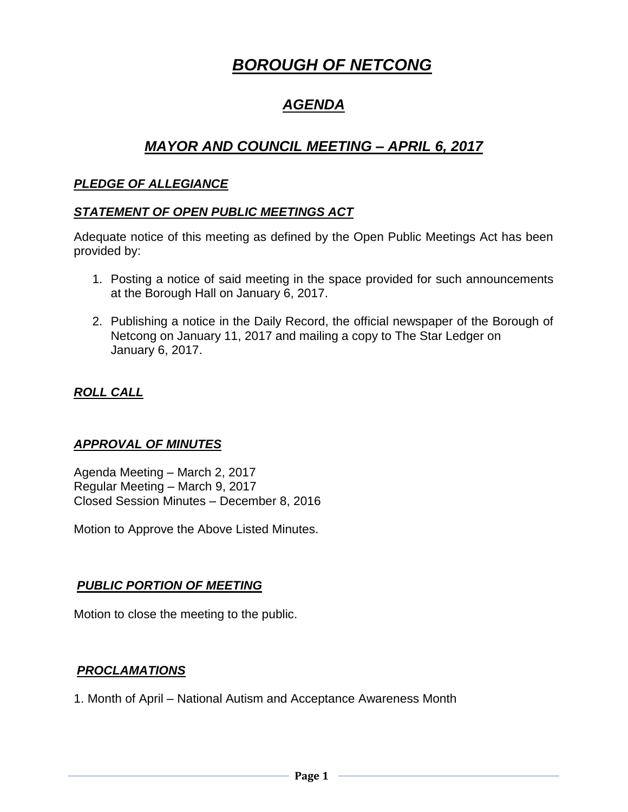# *BOROUGH OF NETCONG*

# *AGENDA*

# *MAYOR AND COUNCIL MEETING – APRIL 6, 2017*

# *PLEDGE OF ALLEGIANCE*

### *STATEMENT OF OPEN PUBLIC MEETINGS ACT*

Adequate notice of this meeting as defined by the Open Public Meetings Act has been provided by:

- 1. Posting a notice of said meeting in the space provided for such announcements at the Borough Hall on January 6, 2017.
- 2. Publishing a notice in the Daily Record, the official newspaper of the Borough of Netcong on January 11, 2017 and mailing a copy to The Star Ledger on January 6, 2017.

# *ROLL CALL*

# *APPROVAL OF MINUTES*

Agenda Meeting – March 2, 2017 Regular Meeting – March 9, 2017 Closed Session Minutes – December 8, 2016

Motion to Approve the Above Listed Minutes.

#### *PUBLIC PORTION OF MEETING*

Motion to close the meeting to the public.

#### *PROCLAMATIONS*

1. Month of April – National Autism and Acceptance Awareness Month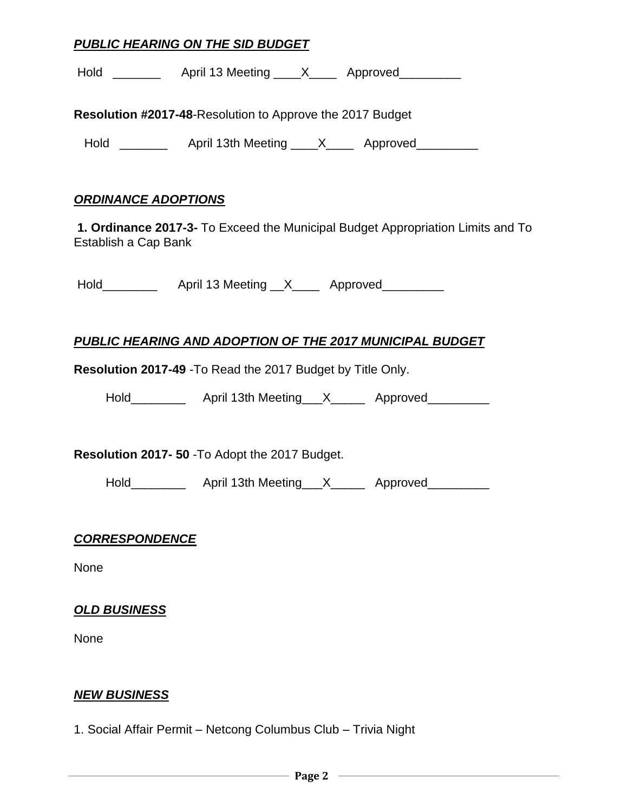### *PUBLIC HEARING ON THE SID BUDGET*

| Hold |  | April 13 Meeting |  | Approved |
|------|--|------------------|--|----------|
|------|--|------------------|--|----------|

**Resolution #2017-48**-Resolution to Approve the 2017 Budget

Hold \_\_\_\_\_\_\_\_\_ April 13th Meeting \_\_\_\_X\_\_\_\_ Approved\_\_\_\_\_\_\_\_\_

#### *ORDINANCE ADOPTIONS*

**1. Ordinance 2017-3-** To Exceed the Municipal Budget Appropriation Limits and To Establish a Cap Bank

Hold\_\_\_\_\_\_\_\_\_\_\_\_\_ April 13 Meeting \_\_X\_\_\_\_\_ Approved\_\_\_\_\_\_\_\_\_\_

# *PUBLIC HEARING AND ADOPTION OF THE 2017 MUNICIPAL BUDGET*

**Resolution 2017-49** -To Read the 2017 Budget by Title Only.

Hold\_\_\_\_\_\_\_\_\_\_\_\_ April 13th Meeting\_\_\_X\_\_\_\_\_\_ Approved\_\_\_\_\_\_\_\_\_

**Resolution 2017- 50** -To Adopt the 2017 Budget.

Hold\_\_\_\_\_\_\_\_\_\_\_\_ April 13th Meeting\_\_\_X\_\_\_\_\_\_ Approved\_\_\_\_\_\_\_\_\_

#### *CORRESPONDENCE*

None

#### *OLD BUSINESS*

None

#### *NEW BUSINESS*

1. Social Affair Permit – Netcong Columbus Club – Trivia Night